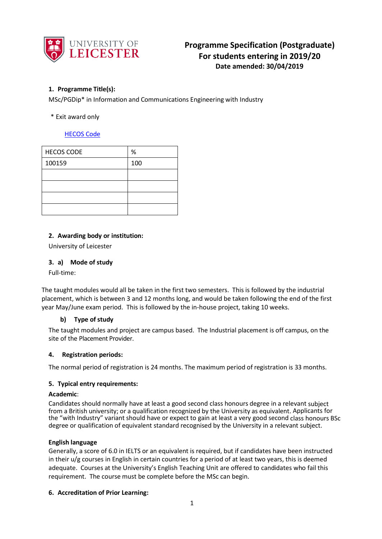

# **Programme Specification (Postgraduate) For students entering in 2019/20 Date amended: 30/04/2019**

# **1. Programme Title(s):**

MSc/PGDip\* in Information and Communications Engineering with Industry

## \* Exit award only

# [HECOS Code](https://www.hesa.ac.uk/innovation/hecos)

| <b>HECOS CODE</b> | $\%$ |
|-------------------|------|
| 100159            | 100  |
|                   |      |
|                   |      |
|                   |      |
|                   |      |

## **2. Awarding body or institution:**

University of Leicester

## **3. a) Mode of study**

Full-time:

The taught modules would all be taken in the first two semesters. This is followed by the industrial placement, which is between 3 and 12 months long, and would be taken following the end of the first year May/June exam period. This is followed by the in-house project, taking 10 weeks.

### **b) Type of study**

The taught modules and project are campus based. The Industrial placement is off campus, on the site of the Placement Provider.

### **4. Registration periods:**

The normal period of registration is 24 months. The maximum period of registration is 33 months.

### **5. Typical entry requirements:**

# **Academic**:

Candidates should normally have at least a good second class honours degree in a relevant subject from a British university; or a qualification recognized by the University as equivalent. Applicants for the "with Industry" variant should have or expect to gain at least a very good second class honours BSc degree or qualification of equivalent standard recognised by the University in a relevant subject.

### **English language**

Generally, a score of 6.0 in IELTS or an equivalent is required, but if candidates have been instructed in their u/g courses in English in certain countries for a period of at least two years, this is deemed adequate. Courses at the University's English Teaching Unit are offered to candidates who fail this requirement. The course must be complete before the MSc can begin.

### **6. Accreditation of Prior Learning:**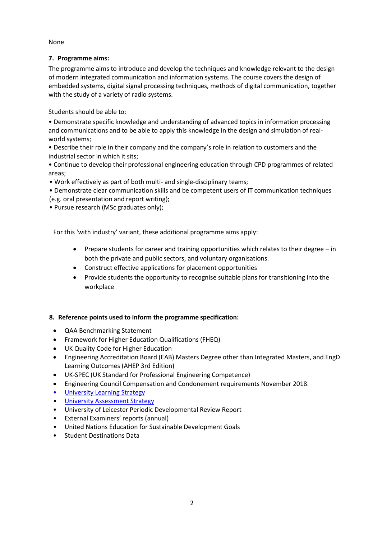None

# **7. Programme aims:**

The programme aims to introduce and develop the techniques and knowledge relevant to the design of modern integrated communication and information systems. The course covers the design of embedded systems, digital signal processing techniques, methods of digital communication, together with the study of a variety of radio systems.

Students should be able to:

• Demonstrate specific knowledge and understanding of advanced topics in information processing and communications and to be able to apply this knowledge in the design and simulation of realworld systems;

• Describe their role in their company and the company's role in relation to customers and the industrial sector in which it sits;

• Continue to develop their professional engineering education through CPD programmes of related areas;

• Work effectively as part of both multi- and single-disciplinary teams;

• Demonstrate clear communication skills and be competent users of IT communication techniques (e.g. oral presentation and report writing);

• Pursue research (MSc graduates only);

For this 'with industry' variant, these additional programme aims apply:

- Prepare students for career and training opportunities which relates to their degree in both the private and public sectors, and voluntary organisations.
- Construct effective applications for placement opportunities
- Provide students the opportunity to recognise suitable plans for transitioning into the workplace

# **8. Reference points used to inform the programme specification:**

- QAA Benchmarking Statement
- Framework for Higher Education Qualifications (FHEQ)
- UK Quality Code for Higher Education
- Engineering Accreditation Board (EAB) Masters Degree other than Integrated Masters, and EngD Learning Outcomes (AHEP 3rd Edition)
- UK-SPEC (UK Standard for Professional Engineering Competence)
- Engineering Council Compensation and Condonement requirements November 2018.
- University Learnin[g Strategy](https://www2.le.ac.uk/offices/sas2/quality/learnteach)
- [University Assessment Strategy](https://www2.le.ac.uk/offices/sas2/quality/learnteach)
- University of Leicester Periodic Developmental Review Report
- External Examiners' reports (annual)
- United Nations Education for Sustainable Development Goals
- Student Destinations Data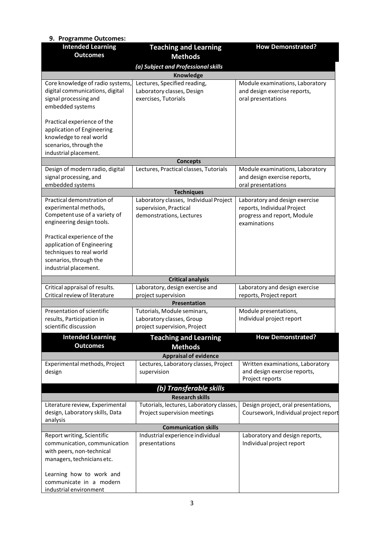| 9. Programme Outcomes:                      |                                                |                                       |  |  |  |  |  |
|---------------------------------------------|------------------------------------------------|---------------------------------------|--|--|--|--|--|
| <b>Intended Learning</b><br><b>Outcomes</b> | <b>Teaching and Learning</b><br><b>Methods</b> | <b>How Demonstrated?</b>              |  |  |  |  |  |
| (a) Subject and Professional skills         |                                                |                                       |  |  |  |  |  |
| Knowledge                                   |                                                |                                       |  |  |  |  |  |
| Core knowledge of radio systems,            | Lectures, Specified reading,                   | Module examinations, Laboratory       |  |  |  |  |  |
| digital communications, digital             | Laboratory classes, Design                     | and design exercise reports,          |  |  |  |  |  |
| signal processing and                       | exercises, Tutorials                           | oral presentations                    |  |  |  |  |  |
| embedded systems                            |                                                |                                       |  |  |  |  |  |
|                                             |                                                |                                       |  |  |  |  |  |
| Practical experience of the                 |                                                |                                       |  |  |  |  |  |
| application of Engineering                  |                                                |                                       |  |  |  |  |  |
| knowledge to real world                     |                                                |                                       |  |  |  |  |  |
| scenarios, through the                      |                                                |                                       |  |  |  |  |  |
| industrial placement.                       |                                                |                                       |  |  |  |  |  |
|                                             | <b>Concepts</b>                                |                                       |  |  |  |  |  |
| Design of modern radio, digital             | Lectures, Practical classes, Tutorials         | Module examinations, Laboratory       |  |  |  |  |  |
| signal processing, and                      |                                                | and design exercise reports,          |  |  |  |  |  |
| embedded systems                            |                                                | oral presentations                    |  |  |  |  |  |
|                                             | <b>Techniques</b>                              |                                       |  |  |  |  |  |
| Practical demonstration of                  | Laboratory classes, Individual Project         | Laboratory and design exercise        |  |  |  |  |  |
| experimental methods,                       | supervision, Practical                         | reports, Individual Project           |  |  |  |  |  |
| Competent use of a variety of               | demonstrations, Lectures                       | progress and report, Module           |  |  |  |  |  |
| engineering design tools.                   |                                                | examinations                          |  |  |  |  |  |
| Practical experience of the                 |                                                |                                       |  |  |  |  |  |
| application of Engineering                  |                                                |                                       |  |  |  |  |  |
| techniques to real world                    |                                                |                                       |  |  |  |  |  |
| scenarios, through the                      |                                                |                                       |  |  |  |  |  |
| industrial placement.                       |                                                |                                       |  |  |  |  |  |
|                                             |                                                |                                       |  |  |  |  |  |
|                                             | <b>Critical analysis</b>                       |                                       |  |  |  |  |  |
| Critical appraisal of results.              | Laboratory, design exercise and                | Laboratory and design exercise        |  |  |  |  |  |
| Critical review of literature               | project supervision                            | reports, Project report               |  |  |  |  |  |
|                                             | Presentation                                   |                                       |  |  |  |  |  |
| Presentation of scientific                  | Tutorials, Module seminars,                    | Module presentations,                 |  |  |  |  |  |
| results, Participation in                   | Laboratory classes, Group                      | Individual project report             |  |  |  |  |  |
| scientific discussion                       | project supervision, Project                   |                                       |  |  |  |  |  |
| <b>Intended Learning</b>                    | <b>Teaching and Learning</b>                   | <b>How Demonstrated?</b>              |  |  |  |  |  |
| <b>Outcomes</b>                             | <b>Methods</b>                                 |                                       |  |  |  |  |  |
|                                             | <b>Appraisal of evidence</b>                   |                                       |  |  |  |  |  |
| Experimental methods, Project               | Lectures, Laboratory classes, Project          | Written examinations, Laboratory      |  |  |  |  |  |
| design                                      | supervision                                    | and design exercise reports,          |  |  |  |  |  |
|                                             |                                                | Project reports                       |  |  |  |  |  |
|                                             | (b) Transferable skills                        |                                       |  |  |  |  |  |
|                                             | <b>Research skills</b>                         |                                       |  |  |  |  |  |
| Literature review, Experimental             | Tutorials, lectures, Laboratory classes,       | Design project, oral presentations,   |  |  |  |  |  |
| design, Laboratory skills, Data             | Project supervision meetings                   | Coursework, Individual project report |  |  |  |  |  |
| analysis                                    |                                                |                                       |  |  |  |  |  |
|                                             | <b>Communication skills</b>                    |                                       |  |  |  |  |  |
| Report writing, Scientific                  | Industrial experience individual               | Laboratory and design reports,        |  |  |  |  |  |
| communication, communication                | presentations                                  | Individual project report             |  |  |  |  |  |
| with peers, non-technical                   |                                                |                                       |  |  |  |  |  |
| managers, technicians etc.                  |                                                |                                       |  |  |  |  |  |
|                                             |                                                |                                       |  |  |  |  |  |
| Learning how to work and                    |                                                |                                       |  |  |  |  |  |
| communicate in a modern                     |                                                |                                       |  |  |  |  |  |
| industrial environment                      |                                                |                                       |  |  |  |  |  |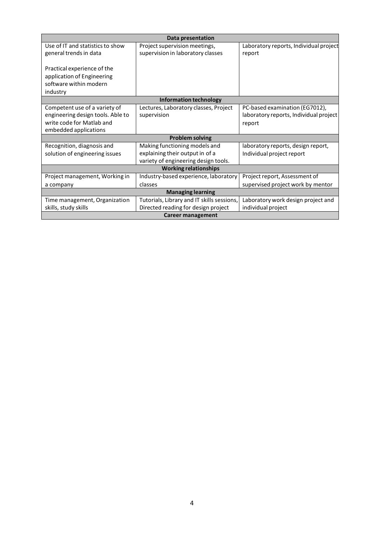| Data presentation                 |                                            |                                        |  |  |  |
|-----------------------------------|--------------------------------------------|----------------------------------------|--|--|--|
| Use of IT and statistics to show  | Project supervision meetings,              | Laboratory reports, Individual project |  |  |  |
| general trends in data            | supervision in laboratory classes          | report                                 |  |  |  |
|                                   |                                            |                                        |  |  |  |
| Practical experience of the       |                                            |                                        |  |  |  |
| application of Engineering        |                                            |                                        |  |  |  |
| software within modern            |                                            |                                        |  |  |  |
| industry                          |                                            |                                        |  |  |  |
| Information technology            |                                            |                                        |  |  |  |
| Competent use of a variety of     | Lectures, Laboratory classes, Project      | PC-based examination (EG7012),         |  |  |  |
| engineering design tools. Able to | supervision                                | laboratory reports, Individual project |  |  |  |
| write code for Matlab and         |                                            | report                                 |  |  |  |
| embedded applications             |                                            |                                        |  |  |  |
|                                   | <b>Problem solving</b>                     |                                        |  |  |  |
| Recognition, diagnosis and        | Making functioning models and              | laboratory reports, design report,     |  |  |  |
| solution of engineering issues    | explaining their output in of a            | Individual project report              |  |  |  |
|                                   | variety of engineering design tools.       |                                        |  |  |  |
| <b>Working relationships</b>      |                                            |                                        |  |  |  |
| Project management, Working in    | Industry-based experience, laboratory      | Project report, Assessment of          |  |  |  |
| a company                         | classes                                    | supervised project work by mentor      |  |  |  |
| <b>Managing learning</b>          |                                            |                                        |  |  |  |
| Time management, Organization     | Tutorials, Library and IT skills sessions, | Laboratory work design project and     |  |  |  |
| skills, study skills              | Directed reading for design project        | individual project                     |  |  |  |
| Career management                 |                                            |                                        |  |  |  |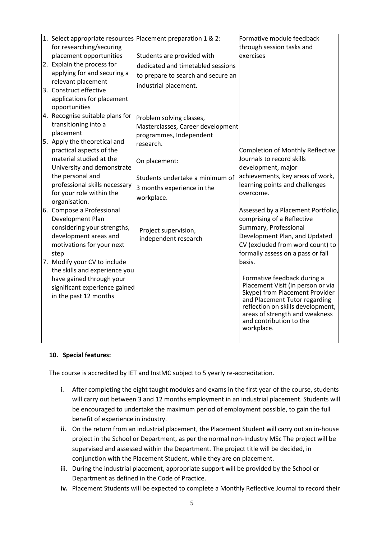| 1. Select appropriate resources Placement preparation 1 & 2: |                                    | Formative module feedback                                             |
|--------------------------------------------------------------|------------------------------------|-----------------------------------------------------------------------|
| for researching/securing                                     |                                    | through session tasks and                                             |
| placement opportunities                                      | Students are provided with         | exercises                                                             |
| 2. Explain the process for                                   | dedicated and timetabled sessions  |                                                                       |
| applying for and securing a                                  | to prepare to search and secure an |                                                                       |
| relevant placement                                           | industrial placement.              |                                                                       |
| 3. Construct effective                                       |                                    |                                                                       |
| applications for placement                                   |                                    |                                                                       |
| opportunities                                                |                                    |                                                                       |
| 4. Recognise suitable plans for                              | Problem solving classes,           |                                                                       |
| transitioning into a                                         | Masterclasses, Career development  |                                                                       |
| placement                                                    | programmes, Independent            |                                                                       |
| 5. Apply the theoretical and                                 | research.                          |                                                                       |
| practical aspects of the                                     |                                    | Completion of Monthly Reflective                                      |
| material studied at the                                      | On placement:                      | Journals to record skills                                             |
| University and demonstrate                                   |                                    | development, major                                                    |
| the personal and                                             | Students undertake a minimum of    | achievements, key areas of work,                                      |
| professional skills necessary                                | 3 months experience in the         | learning points and challenges                                        |
| for your role within the                                     | workplace.                         | overcome.                                                             |
| organisation.                                                |                                    |                                                                       |
| 6. Compose a Professional                                    |                                    | Assessed by a Placement Portfolio,                                    |
| Development Plan                                             |                                    | comprising of a Reflective                                            |
| considering your strengths,                                  | Project supervision,               | Summary, Professional                                                 |
| development areas and                                        | independent research               | Development Plan, and Updated                                         |
| motivations for your next                                    |                                    | CV (excluded from word count) to<br>formally assess on a pass or fail |
| step<br>7. Modify your CV to include                         |                                    | basis.                                                                |
| the skills and experience you                                |                                    |                                                                       |
| have gained through your                                     |                                    | Formative feedback during a                                           |
| significant experience gained                                |                                    | Placement Visit (in person or via                                     |
| in the past 12 months                                        |                                    | Skype) from Placement Provider                                        |
|                                                              |                                    | and Placement Tutor regarding                                         |
|                                                              |                                    | reflection on skills development,<br>areas of strength and weakness   |
|                                                              |                                    | and contribution to the                                               |
|                                                              |                                    | workplace.                                                            |
|                                                              |                                    |                                                                       |

### **10. Special features:**

The course is accredited by IET and InstMC subject to 5 yearly re-accreditation.

- i. After completing the eight taught modules and exams in the first year of the course, students will carry out between 3 and 12 months employment in an industrial placement. Students will be encouraged to undertake the maximum period of employment possible, to gain the full benefit of experience in industry.
- **ii.** On the return from an industrial placement, the Placement Student will carry out an in-house project in the School or Department, as per the normal non-Industry MSc The project will be supervised and assessed within the Department. The project title will be decided, in conjunction with the Placement Student, while they are on placement.
- iii. During the industrial placement, appropriate support will be provided by the School or Department as defined in the Code of Practice.
- **iv.** Placement Students will be expected to complete a Monthly Reflective Journal to record their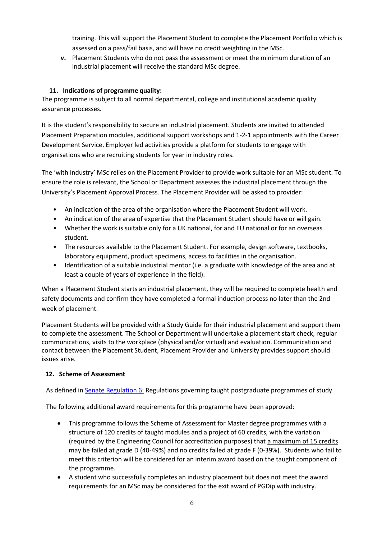training. This will support the Placement Student to complete the Placement Portfolio which is assessed on a pass/fail basis, and will have no credit weighting in the MSc.

**v.** Placement Students who do not pass the assessment or meet the minimum duration of an industrial placement will receive the standard MSc degree.

# **11. Indications of programme quality:**

The programme is subject to all normal departmental, college and institutional academic quality assurance processes.

It is the student's responsibility to secure an industrial placement. Students are invited to attended Placement Preparation modules, additional support workshops and 1-2-1 appointments with the Career Development Service. Employer led activities provide a platform for students to engage with organisations who are recruiting students for year in industry roles.

The 'with Industry' MSc relies on the Placement Provider to provide work suitable for an MSc student. To ensure the role is relevant, the School or Department assesses the industrial placement through the University's Placement Approval Process. The Placement Provider will be asked to provider:

- An indication of the area of the organisation where the Placement Student will work.
- An indication of the area of expertise that the Placement Student should have or will gain.
- Whether the work is suitable only for a UK national, for and EU national or for an overseas student.
- The resources available to the Placement Student. For example, design software, textbooks, laboratory equipment, product specimens, access to facilities in the organisation.
- Identification of a suitable industrial mentor (i.e. a graduate with knowledge of the area and at least a couple of years of experience in the field).

When a Placement Student starts an industrial placement, they will be required to complete health and safety documents and confirm they have completed a formal induction process no later than the 2nd week of placement.

Placement Students will be provided with a Study Guide for their industrial placement and support them to complete the assessment. The School or Department will undertake a placement start check, regular communications, visits to the workplace (physical and/or virtual) and evaluation. Communication and contact between the Placement Student, Placement Provider and University provides support should issues arise.

# **12. Scheme of Assessment**

As defined i[n Senate Regulation 6:](http://www.le.ac.uk/senate-regulation6) Regulations governing taught postgraduate programmes of study.

The following additional award requirements for this programme have been approved:

- This programme follows the Scheme of Assessment for Master degree programmes with a structure of 120 credits of taught modules and a project of 60 credits, with the variation (required by the Engineering Council for accreditation purposes) that a maximum of 15 credits may be failed at grade D (40-49%) and no credits failed at grade F (0-39%). Students who fail to meet this criterion will be considered for an interim award based on the taught component of the programme.
- A student who successfully completes an industry placement but does not meet the award requirements for an MSc may be considered for the exit award of PGDip with industry.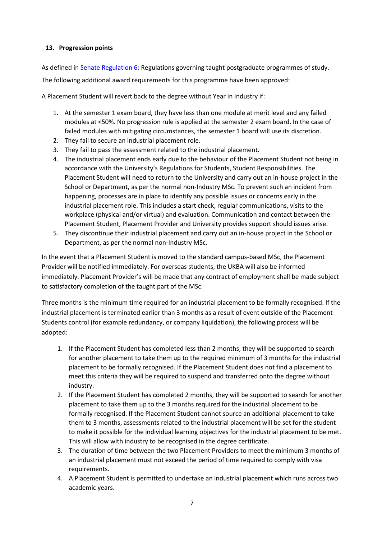## **13. Progression points**

As defined i[n Senate Regulation 6:](http://www.le.ac.uk/senate-regulation6) Regulations governing taught postgraduate programmes of study. The following additional award requirements for this programme have been approved:

A Placement Student will revert back to the degree without Year in Industry if:

- 1. At the semester 1 exam board, they have less than one module at merit level and any failed modules at <50%. No progression rule is applied at the semester 2 exam board. In the case of failed modules with mitigating circumstances, the semester 1 board will use its discretion.
- 2. They fail to secure an industrial placement role.
- 3. They fail to pass the assessment related to the industrial placement.
- 4. The industrial placement ends early due to the behaviour of the Placement Student not being in accordance with the University's Regulations for Students, Student Responsibilities. The Placement Student will need to return to the University and carry out an in-house project in the School or Department, as per the normal non-Industry MSc. To prevent such an incident from happening, processes are in place to identify any possible issues or concerns early in the industrial placement role. This includes a start check, regular communications, visits to the workplace (physical and/or virtual) and evaluation. Communication and contact between the Placement Student, Placement Provider and University provides support should issues arise.
- 5. They discontinue their industrial placement and carry out an in-house project in the School or Department, as per the normal non-Industry MSc.

In the event that a Placement Student is moved to the standard campus-based MSc, the Placement Provider will be notified immediately. For overseas students, the UKBA will also be informed immediately. Placement Provider's will be made that any contract of employment shall be made subject to satisfactory completion of the taught part of the MSc.

Three months is the minimum time required for an industrial placement to be formally recognised. If the industrial placement is terminated earlier than 3 months as a result of event outside of the Placement Students control (for example redundancy, or company liquidation), the following process will be adopted:

- 1. If the Placement Student has completed less than 2 months, they will be supported to search for another placement to take them up to the required minimum of 3 months for the industrial placement to be formally recognised. If the Placement Student does not find a placement to meet this criteria they will be required to suspend and transferred onto the degree without industry.
- 2. If the Placement Student has completed 2 months, they will be supported to search for another placement to take them up to the 3 months required for the industrial placement to be formally recognised. If the Placement Student cannot source an additional placement to take them to 3 months, assessments related to the industrial placement will be set for the student to make it possible for the individual learning objectives for the industrial placement to be met. This will allow with industry to be recognised in the degree certificate.
- 3. The duration of time between the two Placement Providers to meet the minimum 3 months of an industrial placement must not exceed the period of time required to comply with visa requirements.
- 4. A Placement Student is permitted to undertake an industrial placement which runs across two academic years.